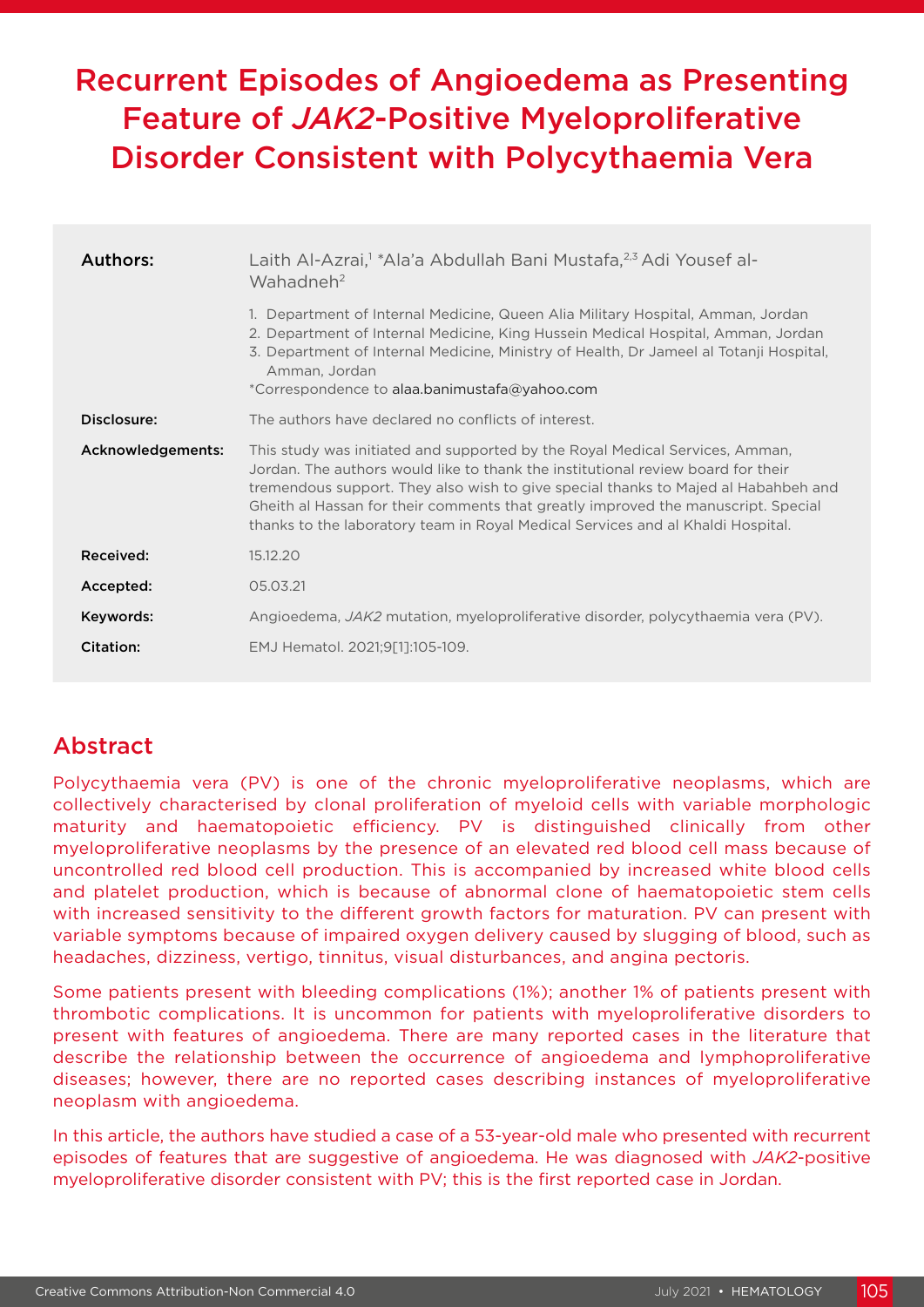# Recurrent Episodes of Angioedema as Presenting Feature of *JAK2*-Positive Myeloproliferative Disorder Consistent with Polycythaemia Vera

| Authors:          | Laith Al-Azrai, <sup>1</sup> *Ala'a Abdullah Bani Mustafa, <sup>2,3</sup> Adi Yousef al-<br>Wahadneh <sup>2</sup>                                                                                                                                                                                                                                                                                                              |
|-------------------|--------------------------------------------------------------------------------------------------------------------------------------------------------------------------------------------------------------------------------------------------------------------------------------------------------------------------------------------------------------------------------------------------------------------------------|
|                   | 1. Department of Internal Medicine, Queen Alia Military Hospital, Amman, Jordan<br>2. Department of Internal Medicine, King Hussein Medical Hospital, Amman, Jordan<br>3. Department of Internal Medicine, Ministry of Health, Dr Jameel al Totanji Hospital,<br>Amman, Jordan<br>*Correspondence to alaa.banimustafa@yahoo.com                                                                                                |
| Disclosure:       | The authors have declared no conflicts of interest.                                                                                                                                                                                                                                                                                                                                                                            |
| Acknowledgements: | This study was initiated and supported by the Royal Medical Services, Amman,<br>Jordan. The authors would like to thank the institutional review board for their<br>tremendous support. They also wish to give special thanks to Majed al Habahbeh and<br>Gheith al Hassan for their comments that greatly improved the manuscript. Special<br>thanks to the laboratory team in Royal Medical Services and al Khaldi Hospital. |
| Received:         | 15.12.20                                                                                                                                                                                                                                                                                                                                                                                                                       |
| Accepted:         | 05.03.21                                                                                                                                                                                                                                                                                                                                                                                                                       |
| Keywords:         | Angioedema, <i>JAK2</i> mutation, myeloproliferative disorder, polycythaemia vera (PV).                                                                                                                                                                                                                                                                                                                                        |
| Citation:         | EMJ Hematol. 2021;9[1]:105-109.                                                                                                                                                                                                                                                                                                                                                                                                |

## Abstract

Polycythaemia vera (PV) is one of the chronic myeloproliferative neoplasms, which are collectively characterised by clonal proliferation of myeloid cells with variable morphologic maturity and haematopoietic efficiency. PV is distinguished clinically from other myeloproliferative neoplasms by the presence of an elevated red blood cell mass because of uncontrolled red blood cell production. This is accompanied by increased white blood cells and platelet production, which is because of abnormal clone of haematopoietic stem cells with increased sensitivity to the different growth factors for maturation. PV can present with variable symptoms because of impaired oxygen delivery caused by slugging of blood, such as headaches, dizziness, vertigo, tinnitus, visual disturbances, and angina pectoris.

Some patients present with bleeding complications (1%); another 1% of patients present with thrombotic complications. It is uncommon for patients with myeloproliferative disorders to present with features of angioedema. There are many reported cases in the literature that describe the relationship between the occurrence of angioedema and lymphoproliferative diseases; however, there are no reported cases describing instances of myeloproliferative neoplasm with angioedema.

In this article, the authors have studied a case of a 53-year-old male who presented with recurrent episodes of features that are suggestive of angioedema. He was diagnosed with *JAK2*-positive myeloproliferative disorder consistent with PV; this is the first reported case in Jordan.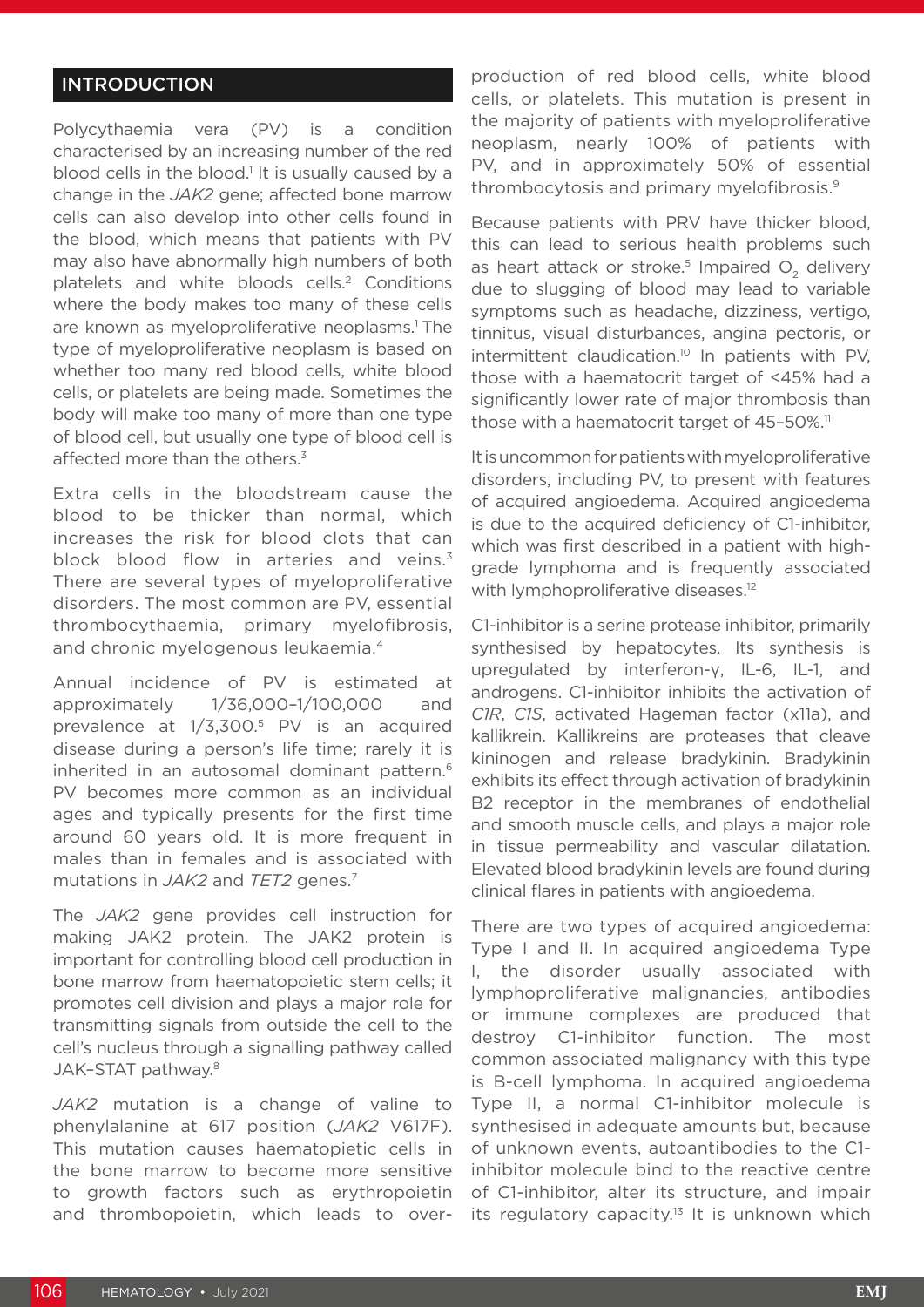### INTRODUCTION

Polycythaemia vera (PV) is a condition characterised by an increasing number of the red blood cells in the blood.<sup>1</sup> It is usually caused by a change in the *JAK2* gene; affected bone marrow cells can also develop into other cells found in the blood, which means that patients with PV may also have abnormally high numbers of both platelets and white bloods cells.<sup>2</sup> Conditions where the body makes too many of these cells are known as myeloproliferative neoplasms.<sup>1</sup> The type of myeloproliferative neoplasm is based on whether too many red blood cells, white blood cells, or platelets are being made. Sometimes the body will make too many of more than one type of blood cell, but usually one type of blood cell is affected more than the others.<sup>3</sup>

Extra cells in the bloodstream cause the blood to be thicker than normal, which increases the risk for blood clots that can block blood flow in arteries and veins.<sup>3</sup> There are several types of myeloproliferative disorders. The most common are PV, essential thrombocythaemia, primary myelofibrosis, and chronic myelogenous leukaemia.4

Annual incidence of PV is estimated at approximately 1/36,000–1/100,000 and prevalence at 1/3,300.5 PV is an acquired disease during a person's life time; rarely it is inherited in an autosomal dominant pattern.<sup>6</sup> PV becomes more common as an individual ages and typically presents for the first time around 60 years old. It is more frequent in males than in females and is associated with mutations in *JAK2* and *TET2* genes.7

The *JAK2* gene provides cell instruction for making JAK2 protein. The JAK2 protein is important for controlling blood cell production in bone marrow from haematopoietic stem cells; it promotes cell division and plays a major role for transmitting signals from outside the cell to the cell's nucleus through a signalling pathway called JAK–STAT pathway.8

*JAK2* mutation is a change of valine to phenylalanine at 617 position (*JAK2* V617F). This mutation causes haematopietic cells in the bone marrow to become more sensitive to growth factors such as erythropoietin and thrombopoietin, which leads to overproduction of red blood cells, white blood cells, or platelets. This mutation is present in the majority of patients with myeloproliferative neoplasm, nearly 100% of patients with PV, and in approximately 50% of essential thrombocytosis and primary myelofibrosis.9

Because patients with PRV have thicker blood, this can lead to serious health problems such as heart attack or stroke.<sup>5</sup> Impaired  $O<sub>2</sub>$  delivery due to slugging of blood may lead to variable symptoms such as headache, dizziness, vertigo, tinnitus, visual disturbances, angina pectoris, or intermittent claudication.<sup>10</sup> In patients with PV, those with a haematocrit target of <45% had a significantly lower rate of major thrombosis than those with a haematocrit target of 45-50%.<sup>11</sup>

It is uncommon for patients with myeloproliferative disorders, including PV, to present with features of acquired angioedema. Acquired angioedema is due to the acquired deficiency of C1-inhibitor, which was first described in a patient with highgrade lymphoma and is frequently associated with lymphoproliferative diseases.<sup>12</sup>

C1-inhibitor is a serine protease inhibitor, primarily synthesised by hepatocytes. Its synthesis is upregulated by interferon-γ, IL-6, IL-1, and androgens. C1-inhibitor inhibits the activation of *C1R*, *C1S*, activated Hageman factor (x11a), and kallikrein. Kallikreins are proteases that cleave kininogen and release bradykinin. Bradykinin exhibits its effect through activation of bradykinin B2 receptor in the membranes of endothelial and smooth muscle cells, and plays a major role in tissue permeability and vascular dilatation. Elevated blood bradykinin levels are found during clinical flares in patients with angioedema.

There are two types of acquired angioedema: Type I and II. In acquired angioedema Type I, the disorder usually associated with lymphoproliferative malignancies, antibodies or immune complexes are produced that destroy C1-inhibitor function. The most common associated malignancy with this type is B-cell lymphoma. In acquired angioedema Type II, a normal C1-inhibitor molecule is synthesised in adequate amounts but, because of unknown events, autoantibodies to the C1 inhibitor molecule bind to the reactive centre of C1-inhibitor, alter its structure, and impair its regulatory capacity.<sup>13</sup> It is unknown which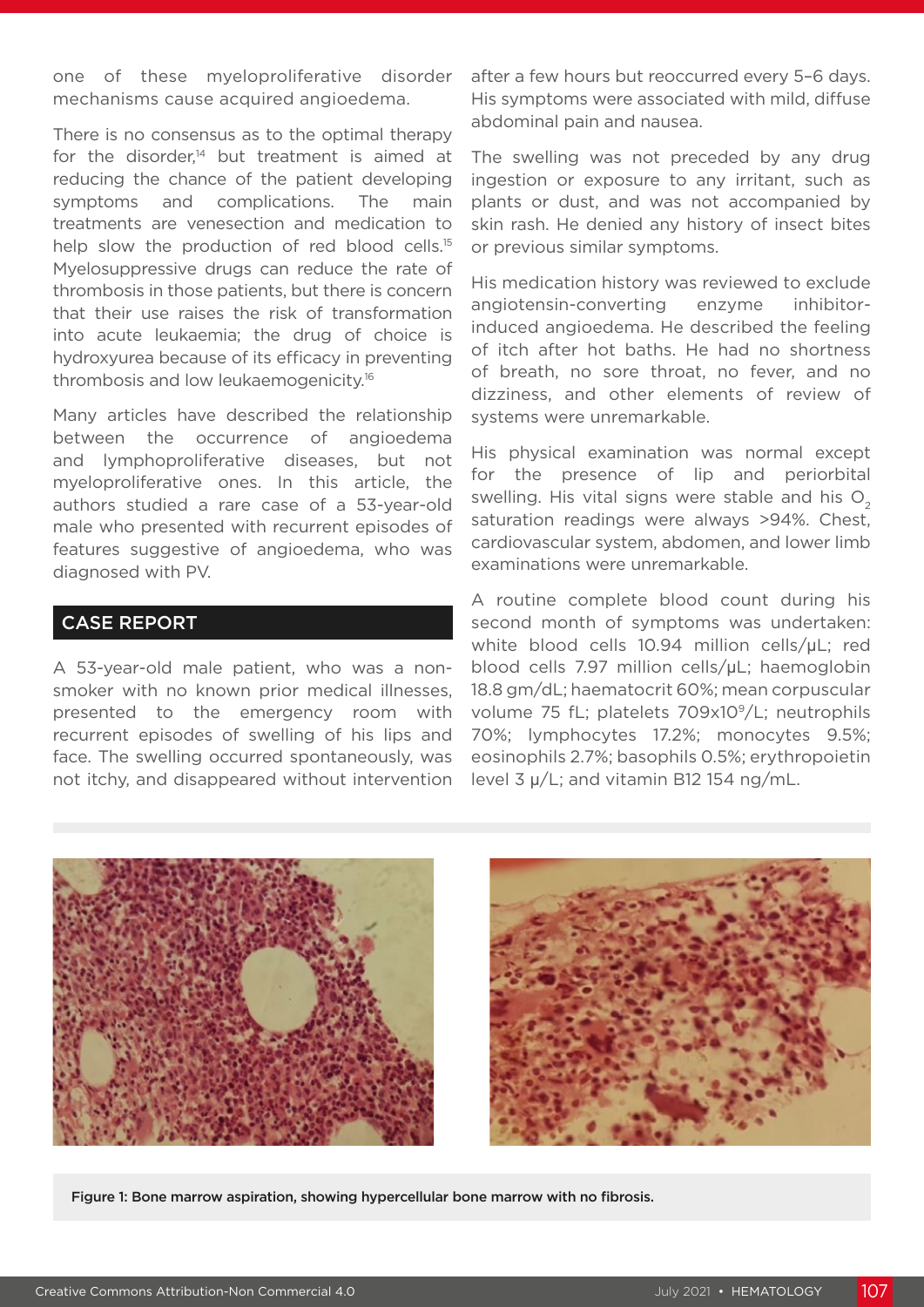one of these myeloproliferative disorder mechanisms cause acquired angioedema.

There is no consensus as to the optimal therapy for the disorder, $14}$  but treatment is aimed at reducing the chance of the patient developing symptoms and complications. The main treatments are venesection and medication to help slow the production of red blood cells.<sup>15</sup> Myelosuppressive drugs can reduce the rate of thrombosis in those patients, but there is concern that their use raises the risk of transformation into acute leukaemia; the drug of choice is hydroxyurea because of its efficacy in preventing thrombosis and low leukaemogenicity.16

Many articles have described the relationship between the occurrence of angioedema and lymphoproliferative diseases, but not myeloproliferative ones. In this article, the authors studied a rare case of a 53-year-old male who presented with recurrent episodes of features suggestive of angioedema, who was diagnosed with PV.

#### CASE REPORT

A 53-year-old male patient, who was a nonsmoker with no known prior medical illnesses, presented to the emergency room with recurrent episodes of swelling of his lips and face. The swelling occurred spontaneously, was not itchy, and disappeared without intervention after a few hours but reoccurred every 5–6 days. His symptoms were associated with mild, diffuse abdominal pain and nausea.

The swelling was not preceded by any drug ingestion or exposure to any irritant, such as plants or dust, and was not accompanied by skin rash. He denied any history of insect bites or previous similar symptoms.

His medication history was reviewed to exclude angiotensin-converting enzyme inhibitorinduced angioedema. He described the feeling of itch after hot baths. He had no shortness of breath, no sore throat, no fever, and no dizziness, and other elements of review of systems were unremarkable.

His physical examination was normal except for the presence of lip and periorbital swelling. His vital signs were stable and his  $O<sub>2</sub>$ saturation readings were always >94%. Chest, cardiovascular system, abdomen, and lower limb examinations were unremarkable.

A routine complete blood count during his second month of symptoms was undertaken: white blood cells 10.94 million cells/μL; red blood cells 7.97 million cells/μL; haemoglobin 18.8 gm/dL; haematocrit 60%; mean corpuscular volume 75 fL; platelets 709x109/L; neutrophils 70%; lymphocytes 17.2%; monocytes 9.5%; eosinophils 2.7%; basophils 0.5%; erythropoietin level 3 μ/L; and vitamin B12 154 ng/mL.





Figure 1: Bone marrow aspiration, showing hypercellular bone marrow with no fibrosis.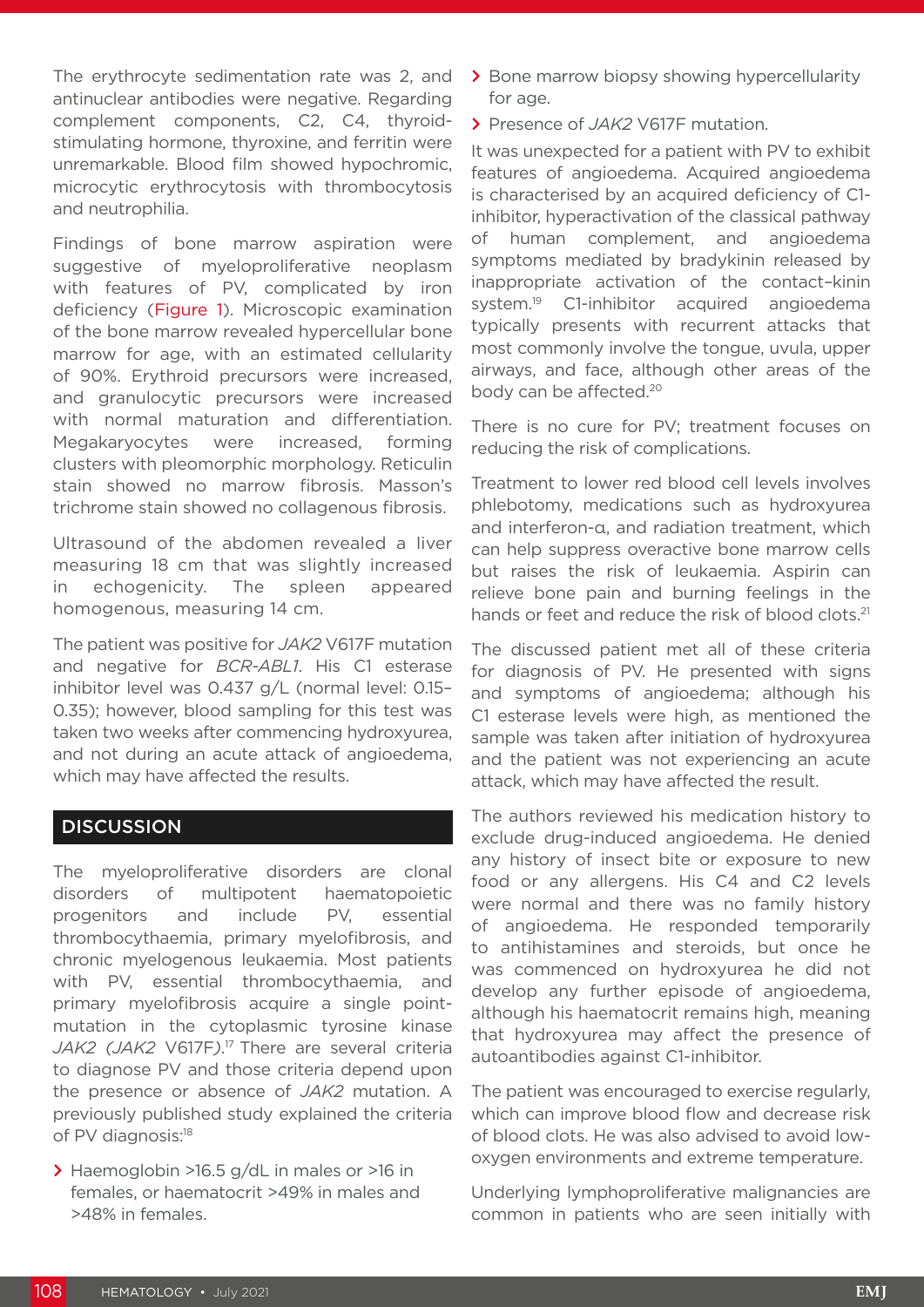The erythrocyte sedimentation rate was 2, and antinuclear antibodies were negative. Regarding complement components, C2, C4, thyroidstimulating hormone, thyroxine, and ferritin were unremarkable. Blood film showed hypochromic, microcytic erythrocytosis with thrombocytosis and neutrophilia.

Findings of bone marrow aspiration were suggestive of myeloproliferative neoplasm with features of PV, complicated by iron deficiency (Figure 1). Microscopic examination of the bone marrow revealed hypercellular bone marrow for age, with an estimated cellularity of 90%. Erythroid precursors were increased, and granulocytic precursors were increased with normal maturation and differentiation. Megakaryocytes were increased, forming clusters with pleomorphic morphology. Reticulin stain showed no marrow fibrosis. Masson's trichrome stain showed no collagenous fibrosis.

Ultrasound of the abdomen revealed a liver measuring 18 cm that was slightly increased in echogenicity. The spleen appeared homogenous, measuring 14 cm.

The patient was positive for *JAK2* V617F mutation and negative for *BCR-ABL1*. His C1 esterase inhibitor level was 0.437 g/L (normal level: 0.15– 0.35); however, blood sampling for this test was taken two weeks after commencing hydroxyurea, and not during an acute attack of angioedema, which may have affected the results.

#### **DISCUSSION**

The myeloproliferative disorders are clonal disorders of multipotent haematopoietic progenitors and include PV, essential thrombocythaemia, primary myelofibrosis, and chronic myelogenous leukaemia. Most patients with PV, essential thrombocythaemia, and primary myelofibrosis acquire a single pointmutation in the cytoplasmic tyrosine kinase *JAK2 (JAK2* V617F*)*. 17 There are several criteria to diagnose PV and those criteria depend upon the presence or absence of *JAK2* mutation. A previously published study explained the criteria of PV diagnosis:<sup>18</sup>

**>** Haemoglobin >16.5 g/dL in males or >16 in females, or haematocrit >49% in males and >48% in females.

- **>** Bone marrow biopsy showing hypercellularity for age.
- **>** Presence of *JAK2* V617F mutation.

It was unexpected for a patient with PV to exhibit features of angioedema. Acquired angioedema is characterised by an acquired deficiency of C1 inhibitor, hyperactivation of the classical pathway of human complement, and angioedema symptoms mediated by bradykinin released by inappropriate activation of the contact–kinin system.<sup>19</sup> C1-inhibitor acquired angioedema typically presents with recurrent attacks that most commonly involve the tongue, uvula, upper airways, and face, although other areas of the body can be affected.20

There is no cure for PV; treatment focuses on reducing the risk of complications.

Treatment to lower red blood cell levels involves phlebotomy, medications such as hydroxyurea and interferon-α, and radiation treatment, which can help suppress overactive bone marrow cells but raises the risk of leukaemia. Aspirin can relieve bone pain and burning feelings in the hands or feet and reduce the risk of blood clots.<sup>21</sup>

The discussed patient met all of these criteria for diagnosis of PV. He presented with signs and symptoms of angioedema; although his C1 esterase levels were high, as mentioned the sample was taken after initiation of hydroxyurea and the patient was not experiencing an acute attack, which may have affected the result.

The authors reviewed his medication history to exclude drug-induced angioedema. He denied any history of insect bite or exposure to new food or any allergens. His C4 and C2 levels were normal and there was no family history of angioedema. He responded temporarily to antihistamines and steroids, but once he was commenced on hydroxyurea he did not develop any further episode of angioedema, although his haematocrit remains high, meaning that hydroxyurea may affect the presence of autoantibodies against C1-inhibitor.

The patient was encouraged to exercise regularly, which can improve blood flow and decrease risk of blood clots. He was also advised to avoid lowoxygen environments and extreme temperature.

Underlying lymphoproliferative malignancies are common in patients who are seen initially with